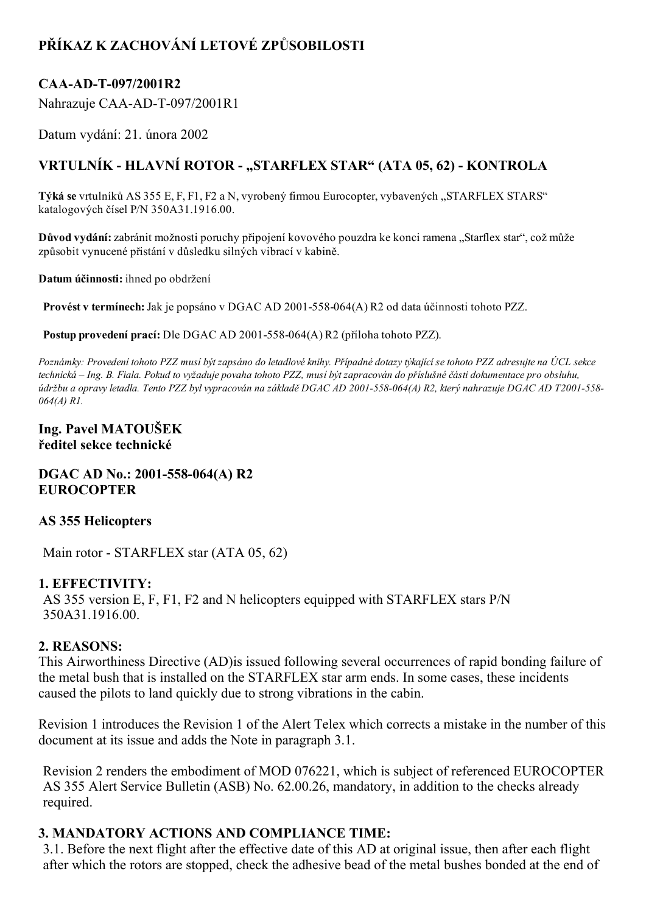# PŘÍKAZ K ZACHOVÁNÍ LETOVÉ ZPŮSOBILOSTI

## CAA-AD-T-097/2001R2

Nahrazuje CAA-AD-T-097/2001R1

Datum vydání: 21. února 2002

## VRTULNÍK - HLAVNÍ ROTOR - "STARFLEX STAR" (ATA 05, 62) - KONTROLA

Týká se vrtulníků AS 355 E, F, F1, F2 a N, vyrobený firmou Eurocopter, vybavených "STARFLEX STARS" katalogových čísel P/N 350A31.1916.00.

Důvod vydání: zabránit možnosti poruchy připojení kovového pouzdra ke konci ramena "Starflex star", což může způsobit vynucené přistání v důsledku silných vibrací v kabině.

Datum účinnosti: ihned po obdržení

Provést v termínech: Jak je popsáno v DGAC AD 2001-558-064(A) R2 od data účinnosti tohoto PZZ.

Postup provedení prací: Dle DGAC AD 2001-558-064(A) R2 (příloha tohoto PZZ).

Poznámky: Provedení tohoto PZZ musí být zapsáno do letadlové knihy. Případné dotazy týkající se tohoto PZZ adresujte na ÚCL sekce technická – Ing. B. Fiala. Pokud to vyžaduje povaha tohoto PZZ, musí být zapracován do příslušné části dokumentace pro obsluhu, údržbu a opravy letadla. Tento PZZ byl vypracován na základě DGAC AD 2001-558-064(A) R2, který nahrazuje DGAC AD T2001-558-064(A) R1.

### Ing. Pavel MATOUŠEK ředitel sekce technické

#### $DGAC AD No.: 2001-558-064(A) R2$ **EUROCOPTER**

## AS 355 Helicopters

Main rotor - STARFLEX star (ATA 05, 62)

## 1. EFFECTIVITY:

AS 355 version E, F, F1, F2 and N helicopters equipped with STARFLEX stars P/N 350A31.1916.00.

## 2. REASONS:

This Airworthiness Directive (AD)is issued following several occurrences of rapid bonding failure of the metal bush that is installed on the STARFLEX star arm ends. In some cases, these incidents caused the pilots to land quickly due to strong vibrations in the cabin.

Revision 1 introduces the Revision 1 of the Alert Telex which corrects a mistake in the number of this document at its issue and adds the Note in paragraph 3.1.

Revision 2 renders the embodiment of MOD 076221, which is subject of referenced EUROCOPTER AS 355 Alert Service Bulletin (ASB) No. 62.00.26, mandatory, in addition to the checks already required.

## 3. MANDATORY ACTIONS AND COMPLIANCE TIME:

3.1. Before the next flight after the effective date of this AD at original issue, then after each flight after which the rotors are stopped, check the adhesive bead of the metal bushes bonded at the end of